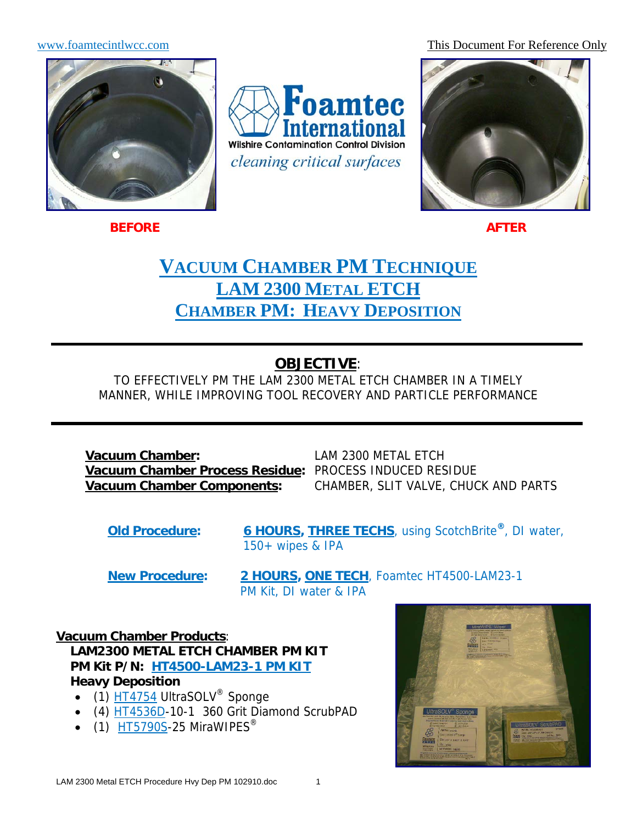www.foamtecintlwcc.com This Document For Reference Only



**Foamtec ternational Wilshire Contamination Control Division** cleaning critical surfaces



**BEFORE** AFTER

# **VACUUM CHAMBER PM TECHNIQUE LAM 2300 METAL ETCH CHAMBER PM: HEAVY DEPOSITION**

# **OBJECTIVE**:

TO EFFECTIVELY PM THE LAM 2300 METAL ETCH CHAMBER IN A TIMELY MANNER, WHILE IMPROVING TOOL RECOVERY AND PARTICLE PERFORMANCE

**Vacuum Chamber:** LAM 2300 METAL ETCH **Vacuum Chamber Process Residue:** PROCESS INDUCED RESIDUE

**Vacuum Chamber Components:** CHAMBER, SLIT VALVE, CHUCK AND PARTS

**Old Procedure: 6 HOURS, THREE TECHS**, using ScotchBrite**®**, DI water, 150+ wipes & IPA

**New Procedure: 2 HOURS, ONE TECH**, Foamtec HT4500-LAM23-1 PM Kit, DI water & IPA

**Vacuum Chamber Products**: **LAM2300 METAL ETCH CHAMBER PM KIT PM Kit P/N: HT4500-LAM23-1 PM KIT Heavy Deposition** 

- $(1)$  HT4754 UltraSOLV<sup>®</sup> Sponge
- (4) HT4536D-10-1 360 Grit Diamond ScrubPAD
- $\bullet$  (1) HT5790S-25 MiraWIPES<sup>®</sup>

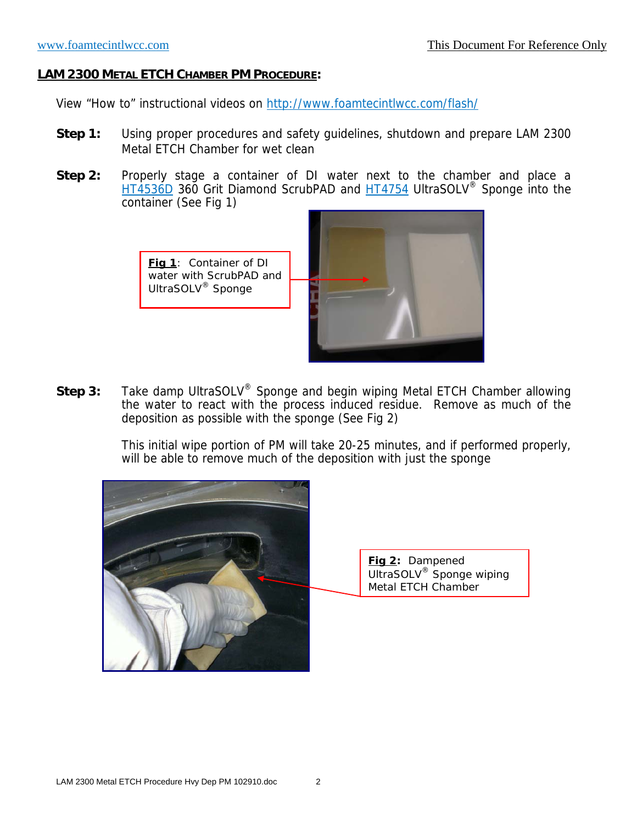View "How to" instructional videos on http://www.foamtecintlwcc.com/flash/

- **Step 1:** Using proper procedures and safety guidelines, shutdown and prepare LAM 2300 Metal ETCH Chamber for wet clean
- **Step 2:** Properly stage a container of DI water next to the chamber and place a HT4536D 360 Grit Diamond ScrubPAD and HT4754 UltraSOLV® Sponge into the container (See Fig 1)

**Fig 1**: Container of DI water with ScrubPAD and UltraSOLV® Sponge



**Step 3:** Take damp UltraSOLV® Sponge and begin wiping Metal ETCH Chamber allowing the water to react with the process induced residue. Remove as much of the deposition as possible with the sponge (See Fig 2)

> This initial wipe portion of PM will take 20-25 minutes, and if performed properly, will be able to remove much of the deposition with just the sponge



**Fig 2:** Dampened UltraSOLV® Sponge wiping Metal ETCH Chamber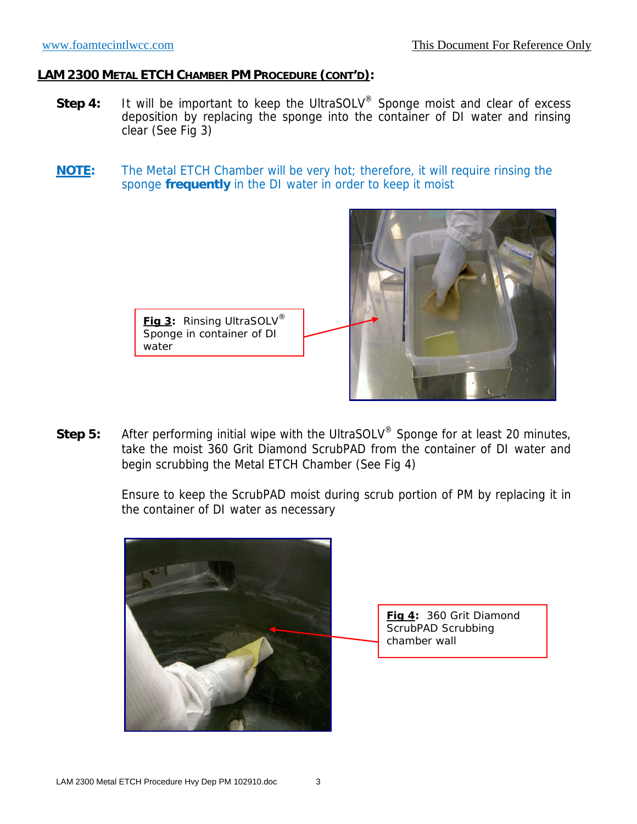water

- Step 4: It will be important to keep the UltraSOLV<sup>®</sup> Sponge moist and clear of excess deposition by replacing the sponge into the container of DI water and rinsing clear (See Fig 3)
- **NOTE:** The Metal ETCH Chamber will be very hot; therefore, it will require rinsing the sponge **frequently** in the DI water in order to keep it moist



**Step 5:** After performing initial wipe with the UltraSOLV® Sponge for at least 20 minutes, take the moist 360 Grit Diamond ScrubPAD from the container of DI water and begin scrubbing the Metal ETCH Chamber (See Fig 4)

> Ensure to keep the ScrubPAD moist during scrub portion of PM by replacing it in the container of DI water as necessary

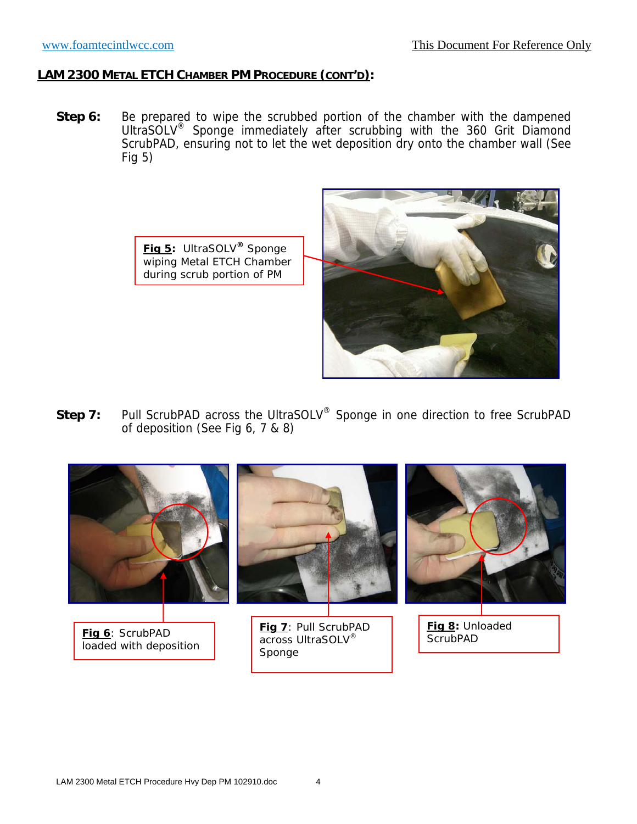**Step 6:** Be prepared to wipe the scrubbed portion of the chamber with the dampened UltraSOLV® Sponge immediately after scrubbing with the 360 Grit Diamond ScrubPAD, ensuring not to let the wet deposition dry onto the chamber wall (See Fig 5)





**Step 7:** Pull ScrubPAD across the UltraSOLV<sup>®</sup> Sponge in one direction to free ScrubPAD of deposition (See Fig 6, 7 & 8)

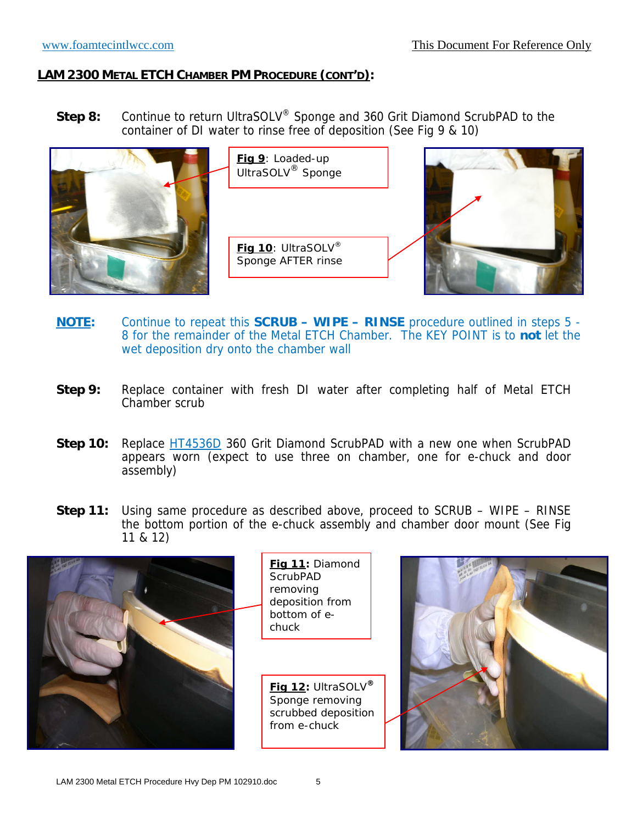**Step 8:** Continue to return UltraSOLV® Sponge and 360 Grit Diamond ScrubPAD to the container of DI water to rinse free of deposition (See Fig 9 & 10)



- **NOTE:** Continue to repeat this **SCRUB WIPE RINSE** procedure outlined in steps 5 8 for the remainder of the Metal ETCH Chamber. The KEY POINT is to **not** let the wet deposition dry onto the chamber wall
- **Step 9:** Replace container with fresh DI water after completing half of Metal ETCH Chamber scrub
- **Step 10:** Replace HT4536D 360 Grit Diamond ScrubPAD with a new one when ScrubPAD appears worn (expect to use three on chamber, one for e-chuck and door assembly)
- **Step 11:** Using same procedure as described above, proceed to SCRUB WIPE RINSE the bottom portion of the e-chuck assembly and chamber door mount (See Fig 11 & 12)



**Fig 11:** Diamond **ScrubPAD** removing deposition from bottom of echuck

**Fig 12:** UltraSOLV**®** Sponge removing scrubbed deposition from e-chuck

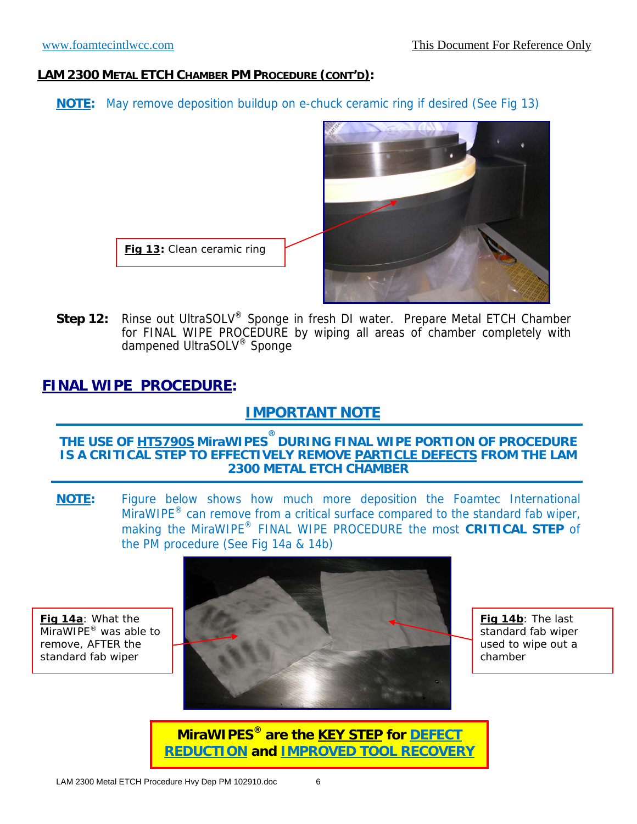**NOTE:** May remove deposition buildup on e-chuck ceramic ring if desired (See Fig 13)



**Step 12:** Rinse out UltraSOLV® Sponge in fresh DI water. Prepare Metal ETCH Chamber for FINAL WIPE PROCEDURE by wiping all areas of chamber completely with dampened UltraSOLV® Sponge

## **FINAL WIPE PROCEDURE:**

# **IMPORTANT NOTE**

#### **THE USE OF HT5790S MiraWIPES ® DURING FINAL WIPE PORTION OF PROCEDURE IS A CRITICAL STEP TO EFFECTIVELY REMOVE PARTICLE DEFECTS FROM THE LAM 2300 METAL ETCH CHAMBER**

**NOTE:** Figure below shows how much more deposition the Foamtec International MiraWIPE<sup>®</sup> can remove from a critical surface compared to the standard fab wiper, making the MiraWIPE® FINAL WIPE PROCEDURE the most **CRITICAL STEP** of the PM procedure (See Fig 14a & 14b)

**Fig 14a**: What the MiraWIPE<sup>®</sup> was able to remove, AFTER the standard fab wiper



**Fig 14b**: The last standard fab wiper used to wipe out a chamber

**MiraWIPES® are the KEY STEP for DEFECT REDUCTION and IMPROVED TOOL RECOVERY**